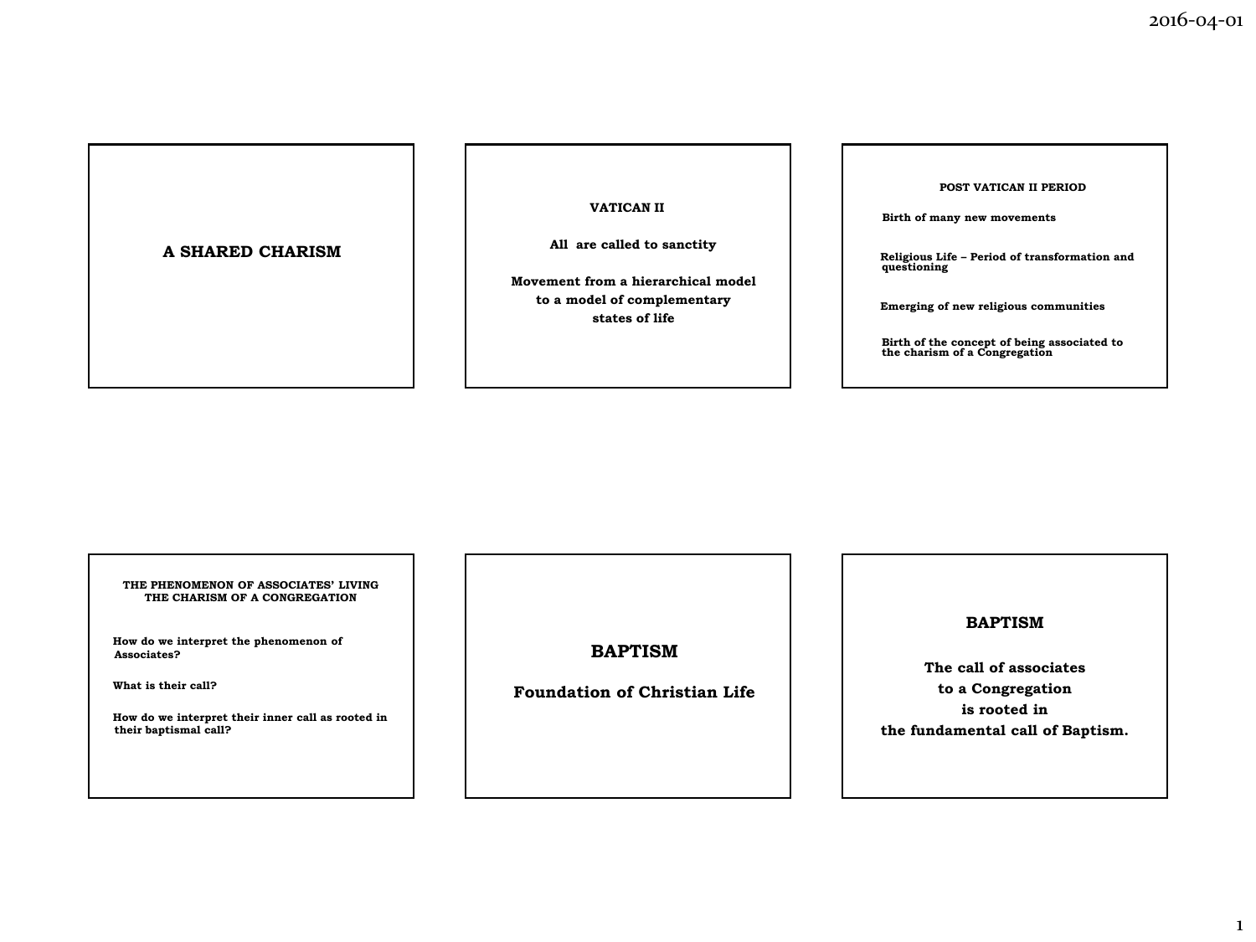## **A SHARED CHARISM**

**VATICAN II**

**All are called to sanctity**

 **Movement from a hierarchical model to a model of complementary states of life**

#### **POST VATICAN II PERIOD**

 **Birth of many new movements**

 **Religious Life – Period of transformation and questioning**

 **Emerging of new religious communities**

**Birth of the concept of being associated to the charism of a Congregation** 

**THE PHENOMENON OF ASSOCIATES' LIVING THE CHARISM OF A CONGREGATION**

 **How do we interpret the phenomenon of Associates?**

 **What is their call?**

 **How do we interpret their inner call as rooted in their baptismal call?**

**BAPTISM**

**Foundation of Christian Life**

# **BAPTISM**

**The call of associates to a Congregation is rooted in the fundamental call of Baptism.**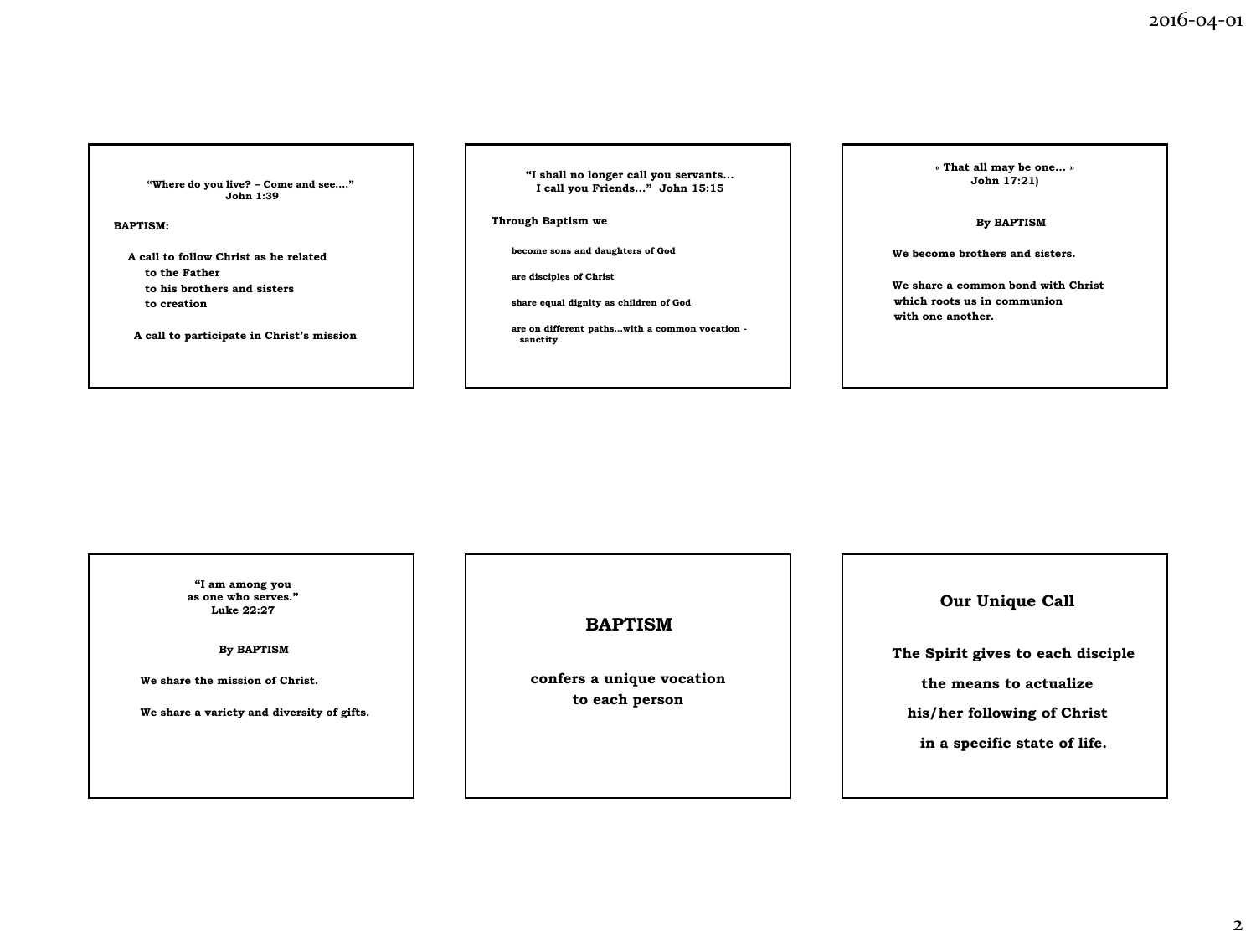**"Where do you live? – Come and see…." John 1:39**

### **BAPTISM:**

**A call to follow Christ as he related to the Father to his brothers and sisters to creation**

**A call to participate in Christ's mission**

**"I shall no longer call you servants... I call you Friends..." John 15:15**

**Through Baptism we** 

**become sons and daughters of God**

**are disciples of Christ**

**share equal dignity as children of God**

**are on different paths…with a common vocation sanctity**

**« That all may be one… » John 17:21)**

**By BAPTISM**

 **We become brothers and sisters.** 

 **We share a common bond with Christ which roots us in communion with one another.**

**"I am among you as one who serves." Luke 22:27**

**By BAPTISM**

 **We share the mission of Christ.**

 **We share a variety and diversity of gifts.**

**BAPTISM**

**confers a unique vocation to each person**

**Our Unique Call**

**The Spirit gives to each disciple** 

**the means to actualize** 

**his/her following of Christ** 

**in a specific state of life.**